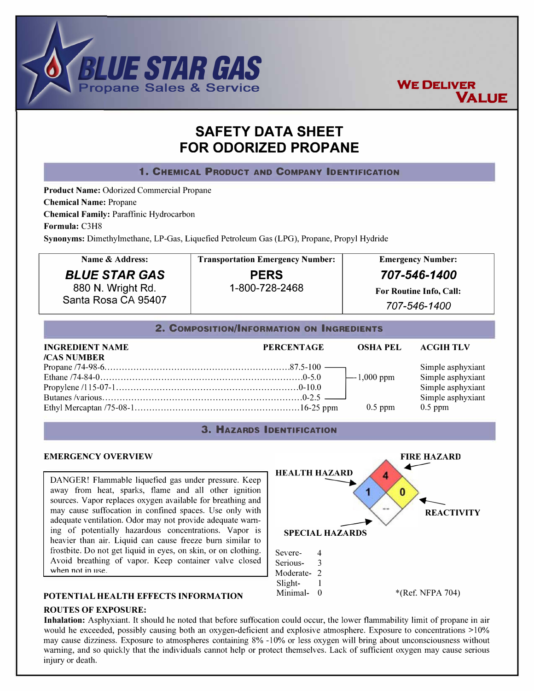



**VALUE** 



# **POTENTIAL HEALTH EFFECTS INFORMATION**

## **ROUTES OF EXPOSURE:**

**Inhalation:** Asphyxiant. It should he noted that before suffocation could occur, the lower flammability limit of propane in air would he exceeded, possibly causing both an oxygen-deficient and explosive atmosphere. Exposure to concentrations  $>10\%$ may cause dizziness. Exposure to atmospheres containing 8% -10% or less oxygen will bring about unconsciousness without warning, and so quickly that the individuals cannot help or protect themselves. Lack of sufficient oxygen may cause serious injury or death.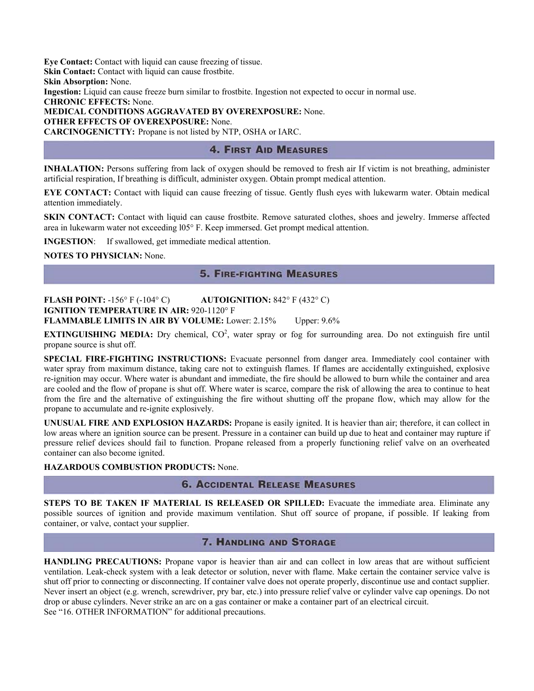**Eye Contact:** Contact with liquid can cause freezing of tissue. **Skin Contact:** Contact with liquid can cause frostbite. **Skin Absorption:** None.

**Ingestion:** Liquid can cause freeze burn similar to frostbite. Ingestion not expected to occur in normal use.

**CHRONIC EFFECTS:** None.

**MEDICAL CONDITIONS AGGRAVATED BY OVEREXPOSURE:** None.

**OTHER EFFECTS OF OVEREXPOSURE:** None.

**CARCINOGENICTTY:** Propane is not listed by NTP, OSHA or IARC.

# **4. FIRST AID MEASURES**

**INHALATION:** Persons suffering from lack of oxygen should be removed to fresh air If victim is not breathing, administer artificial respiration, If breathing is difficult, administer oxygen. Obtain prompt medical attention.

**EYE CONTACT:** Contact with liquid can cause freezing of tissue. Gently flush eyes with lukewarm water. Obtain medical attention immediately.

**SKIN CONTACT:** Contact with liquid can cause frostbite. Remove saturated clothes, shoes and jewelry. Immerse affected area in lukewarm water not exceeding l05° F. Keep immersed. Get prompt medical attention.

**INGESTION**: If swallowed, get immediate medical attention.

**NOTES TO PHYSICIAN:** None.

# **5. FIRE-FIGHTING MEASURES**

**FLASH POINT:** -156° F (-104° C) **AUTOIGNITION:** 842° F (432° C) **IGNITION TEMPERATURE IN AIR: 920-1120° F FLAMMABLE LIMITS IN AIR BY VOLUME:** Lower: 2.15% Upper: 9.6%

**EXTINGUISHING MEDIA:** Dry chemical, CO<sup>2</sup>, water spray or fog for surrounding area. Do not extinguish fire until propane source is shut off.

**SPECIAL FIRE-FIGHTING INSTRUCTIONS:** Evacuate personnel from danger area. Immediately cool container with water spray from maximum distance, taking care not to extinguish flames. If flames are accidentally extinguished, explosive re-ignition may occur. Where water is abundant and immediate, the fire should be allowed to burn while the container and area are cooled and the flow of propane is shut off. Where water is scarce, compare the risk of allowing the area to continue to heat from the fire and the alternative of extinguishing the fire without shutting off the propane flow, which may allow for the propane to accumulate and re-ignite explosively.

**UNUSUAL FIRE AND EXPLOSION HAZARDS:** Propane is easily ignited. It is heavier than air; therefore, it can collect in low areas where an ignition source can be present. Pressure in a container can build up due to heat and container may rupture if pressure relief devices should fail to function. Propane released from a properly functioning relief valve on an overheated container can also become ignited.

## **HAZARDOUS COMBUSTION PRODUCTS:** None.

# **6. ACCIDENTAL RELEASE MEASURES**

**STEPS TO BE TAKEN IF MATERIAL IS RELEASED OR SPILLED:** Evacuate the immediate area. Eliminate any possible sources of ignition and provide maximum ventilation. Shut off source of propane, if possible. If leaking from container, or valve, contact your supplier.

# **7. HANDLING AND STORAGE**

**HANDLING PRECAUTIONS:** Propane vapor is heavier than air and can collect in low areas that are without sufficient ventilation. Leak-check system with a leak detector or solution, never with flame. Make certain the container service valve is shut off prior to connecting or disconnecting. If container valve does not operate properly, discontinue use and contact supplier. Never insert an object (e.g. wrench, screwdriver, pry bar, etc.) into pressure relief valve or cylinder valve cap openings. Do not drop or abuse cylinders. Never strike an arc on a gas container or make a container part of an electrical circuit. See "16. OTHER INFORMATION" for additional precautions.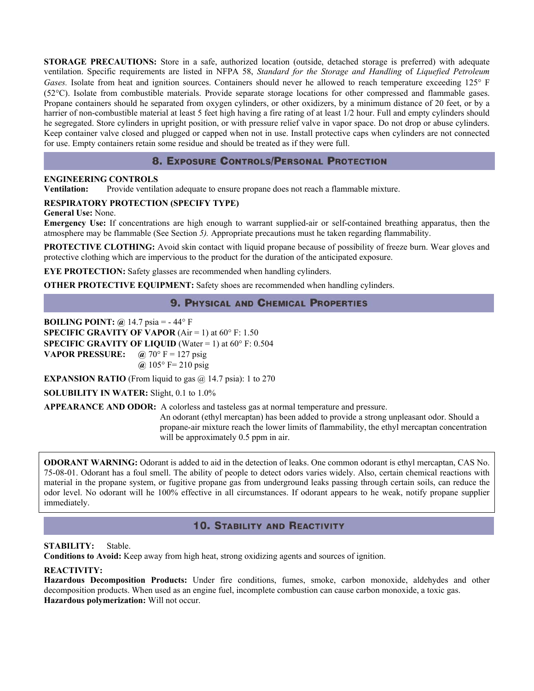**STORAGE PRECAUTIONS:** Store in a safe, authorized location (outside, detached storage is preferred) with adequate ventilation. Specific requirements are listed in NFPA 58, *Standard for the Storage and Handling* of *Liquefied Petroleum Gases.* Isolate from heat and ignition sources. Containers should never he allowed to reach temperature exceeding 125° F (52°C). Isolate from combustible materials. Provide separate storage locations for other compressed and flammable gases. Propane containers should he separated from oxygen cylinders, or other oxidizers, by a minimum distance of 20 feet, or by a harrier of non-combustible material at least 5 feet high having a fire rating of at least 1/2 hour. Full and empty cylinders should he segregated. Store cylinders in upright position, or with pressure relief valve in vapor space. Do not drop or abuse cylinders. Keep container valve closed and plugged or capped when not in use. Install protective caps when cylinders are not connected for use. Empty containers retain some residue and should be treated as if they were full.

# **8. EXPOSURE CONTROLS/PERSONAL PROTECTION**

## **ENGINEERING CONTROLS**

**Ventilation:** Provide ventilation adequate to ensure propane does not reach a flammable mixture.

## **RESPIRATORY PROTECTION (SPECIFY TYPE)**

## **General Use:** None.

**Emergency Use:** If concentrations are high enough to warrant supplied-air or self-contained breathing apparatus, then the atmosphere may be flammable (See Section *5).* Appropriate precautions must he taken regarding flammability.

**PROTECTIVE CLOTHING:** Avoid skin contact with liquid propane because of possibility of freeze burn. Wear gloves and protective clothing which are impervious to the product for the duration of the anticipated exposure.

**EYE PROTECTION:** Safety glasses are recommended when handling cylinders.

**OTHER PROTECTIVE EQUIPMENT:** Safety shoes are recommended when handling cylinders.

# **9. PHYSICAL AND CHEMICAL PROPERTIES**

**BOILING POINT: @** 14.7 psia = - 44° F **SPECIFIC GRAVITY OF VAPOR** ( $Air = 1$ ) at  $60^\circ$  F: 1.50 **SPECIFIC GRAVITY OF LIQUID** (Water  $= 1$ ) at  $60^{\circ}$  F: 0.504 **VAPOR PRESSURE:**  $\omega$  70° F = 127 psig **@** 105° F= 210 psig

**EXPANSION RATIO** (From liquid to gas  $@$  14.7 psia): 1 to 270

**SOLUBILITY IN WATER:** Slight, 0.1 to 1.0%

**APPEARANCE AND ODOR:** A colorless and tasteless gas at normal temperature and pressure.

 An odorant (ethyl mercaptan) has been added to provide a strong unpleasant odor. Should a propane-air mixture reach the lower limits of flammability, the ethyl mercaptan concentration will be approximately 0.5 ppm in air.

**ODORANT WARNING:** Odorant is added to aid in the detection of leaks. One common odorant is ethyl mercaptan, CAS No. 75-08-01. Odorant has a foul smell. The ability of people to detect odors varies widely. Also, certain chemical reactions with material in the propane system, or fugitive propane gas from underground leaks passing through certain soils, can reduce the odor level. No odorant will he 100% effective in all circumstances. If odorant appears to he weak, notify propane supplier immediately.

## **10. STABILITY AND REACTIVITY**

## **STABILITY:** Stable.

**Conditions to Avoid:** Keep away from high heat, strong oxidizing agents and sources of ignition.

## **REACTIVITY:**

**Hazardous Decomposition Products:** Under fire conditions, fumes, smoke, carbon monoxide, aldehydes and other decomposition products. When used as an engine fuel, incomplete combustion can cause carbon monoxide, a toxic gas. **Hazardous polymerization:** Will not occur.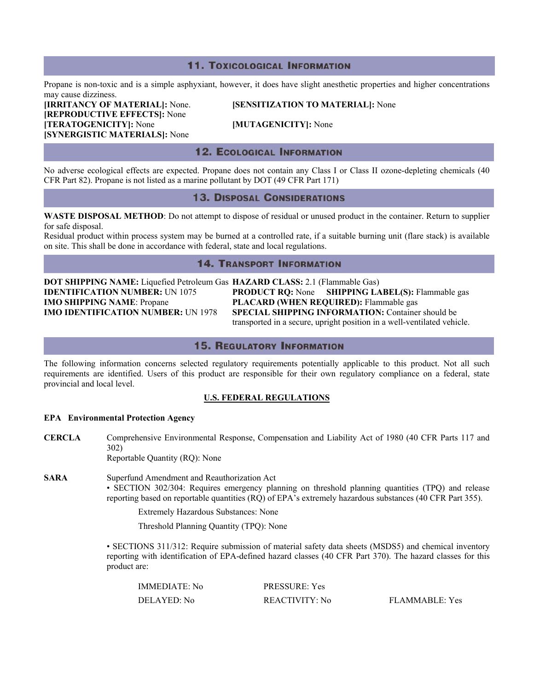## **11. TOXICOLOGICAL INFORMATION**

Propane is non-toxic and is a simple asphyxiant, however, it does have slight anesthetic properties and higher concentrations may cause dizziness.

**[REPRODUCTIVE EFFECTS]:** None **[TERATOGENICITY]:** None **[MUTAGENICITY]:** None **[SYNERGISTIC MATERIALS]:** None

**[IRRITANCY OF MATERIAL]:** None. **[SENSITIZATION TO MATERIAL]:** None

## **12. ECOLOGICAL INFORMATION**

No adverse ecological effects are expected. Propane does not contain any Class I or Class II ozone-depleting chemicals (40 CFR Part 82). Propane is not listed as a marine pollutant by DOT (49 CFR Part 171)

## **13. DISPOSAL CONSIDERATIONS**

**WASTE DISPOSAL METHOD**: Do not attempt to dispose of residual or unused product in the container. Return to supplier for safe disposal.

Residual product within process system may be burned at a controlled rate, if a suitable burning unit (flare stack) is available on site. This shall be done in accordance with federal, state and local regulations.

## **14. TRANSPORT INFORMATION**

**DOT SHIPPING NAME:** Liquefied Petroleum Gas **HAZARD CLASS:** 2.1 (Flammable Gas) **IMO SHIPPING NAME**: Propane **PLACARD (WHEN REQUIRED):** Flammable gas

**IDENTIFICATION NUMBER:** UN 1075 **PRODUCT RQ:** None **SHIPPING LABEL(S):** Flammable gas **IMO IDENTIFICATION NUMBER:** UN 1978 **SPECIAL SHIPPING INFORMATION:** Container should be transported in a secure, upright position in a well-ventilated vehicle.

## **15. REGULATORY INFORMATION**

The following information concerns selected regulatory requirements potentially applicable to this product. Not all such requirements are identified. Users of this product are responsible for their own regulatory compliance on a federal, state provincial and local level.

### **U.S. FEDERAL REGULATIONS**

### **EPA Environmental Protection Agency**

- **CERCLA** Comprehensive Environmental Response, Compensation and Liability Act of 1980 (40 CFR Parts 117 and 302) Reportable Quantity (RQ): None
- **SARA** Superfund Amendment and Reauthorization Act • SECTION 302/304: Requires emergency planning on threshold planning quantities (TPQ) and release reporting based on reportable quantities (RQ) of EPA's extremely hazardous substances (40 CFR Part 355).

Extremely Hazardous Substances: None

Threshold Planning Quantity (TPQ): None

• SECTIONS 311/312: Require submission of material safety data sheets (MSDS5) and chemical inventory reporting with identification of EPA-defined hazard classes (40 CFR Part 370). The hazard classes for this product are:

| <b>IMMEDIATE:</b> No | <b>PRESSURE: Yes</b> |                |
|----------------------|----------------------|----------------|
| DELAYED: No          | REACTIVITY: No       | FLAMMABLE: Yes |